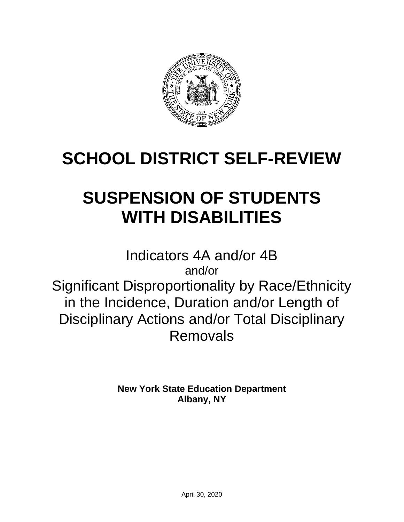

# **SCHOOL DISTRICT SELF-REVIEW**

# **SUSPENSION OF STUDENTS WITH DISABILITIES**

Indicators 4A and/or 4B and/or Significant Disproportionality by Race/Ethnicity in the Incidence, Duration and/or Length of Disciplinary Actions and/or Total Disciplinary Removals

> **New York State Education Department Albany, NY**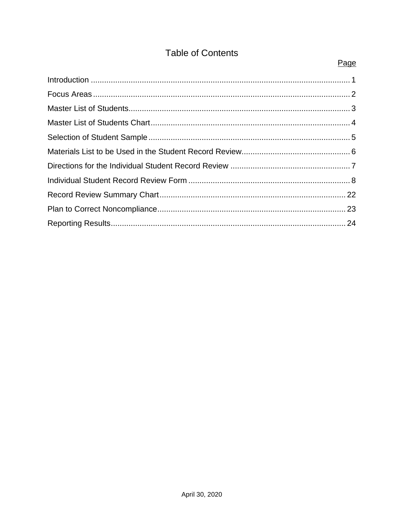## **Table of Contents**

Page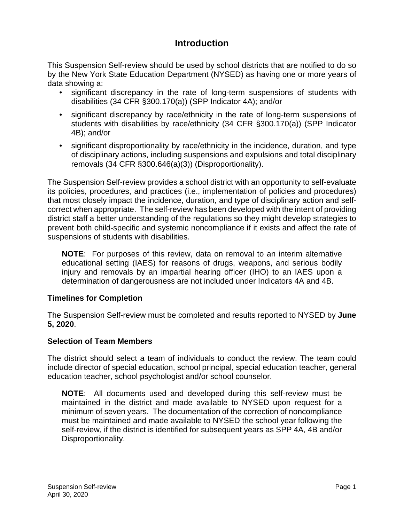## **Introduction**

<span id="page-2-0"></span>This Suspension Self-review should be used by school districts that are notified to do so by the New York State Education Department (NYSED) as having one or more years of data showing a:

- significant discrepancy in the rate of long-term suspensions of students with disabilities (34 CFR §300.170(a)) (SPP Indicator 4A); and/or
- significant discrepancy by race/ethnicity in the rate of long-term suspensions of students with disabilities by race/ethnicity (34 CFR §300.170(a)) (SPP Indicator 4B); and/or
- significant disproportionality by race/ethnicity in the incidence, duration, and type of disciplinary actions, including suspensions and expulsions and total disciplinary removals (34 CFR §300.646(a)(3)) (Disproportionality).

The Suspension Self-review provides a school district with an opportunity to self-evaluate its policies, procedures, and practices (i.e., implementation of policies and procedures) that most closely impact the incidence, duration, and type of disciplinary action and selfcorrect when appropriate. The self-review has been developed with the intent of providing district staff a better understanding of the regulations so they might develop strategies to prevent both child-specific and systemic noncompliance if it exists and affect the rate of suspensions of students with disabilities.

**NOTE**: For purposes of this review, data on removal to an interim alternative educational setting (IAES) for reasons of drugs, weapons, and serious bodily injury and removals by an impartial hearing officer (IHO) to an IAES upon a determination of dangerousness are not included under Indicators 4A and 4B.

#### **Timelines for Completion**

The Suspension Self-review must be completed and results reported to NYSED by **June 5, 2020**.

#### **Selection of Team Members**

The district should select a team of individuals to conduct the review. The team could include director of special education, school principal, special education teacher, general education teacher, school psychologist and/or school counselor.

**NOTE**: All documents used and developed during this self-review must be maintained in the district and made available to NYSED upon request for a minimum of seven years. The documentation of the correction of noncompliance must be maintained and made available to NYSED the school year following the self-review, if the district is identified for subsequent years as SPP 4A, 4B and/or Disproportionality.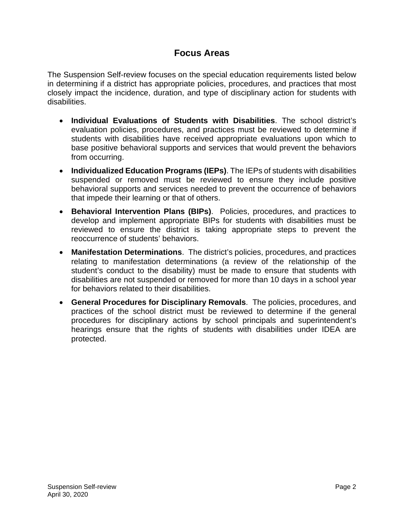## **Focus Areas**

<span id="page-3-0"></span>The Suspension Self-review focuses on the special education requirements listed below in determining if a district has appropriate policies, procedures, and practices that most closely impact the incidence, duration, and type of disciplinary action for students with disabilities.

- **Individual Evaluations of Students with Disabilities**. The school district's evaluation policies, procedures, and practices must be reviewed to determine if students with disabilities have received appropriate evaluations upon which to base positive behavioral supports and services that would prevent the behaviors from occurring.
- **Individualized Education Programs (IEPs)**. The IEPs of students with disabilities suspended or removed must be reviewed to ensure they include positive behavioral supports and services needed to prevent the occurrence of behaviors that impede their learning or that of others.
- **Behavioral Intervention Plans (BIPs)**. Policies, procedures, and practices to develop and implement appropriate BIPs for students with disabilities must be reviewed to ensure the district is taking appropriate steps to prevent the reoccurrence of students' behaviors.
- **Manifestation Determinations**. The district's policies, procedures, and practices relating to manifestation determinations (a review of the relationship of the student's conduct to the disability) must be made to ensure that students with disabilities are not suspended or removed for more than 10 days in a school year for behaviors related to their disabilities.
- **General Procedures for Disciplinary Removals**. The policies, procedures, and practices of the school district must be reviewed to determine if the general procedures for disciplinary actions by school principals and superintendent's hearings ensure that the rights of students with disabilities under IDEA are protected.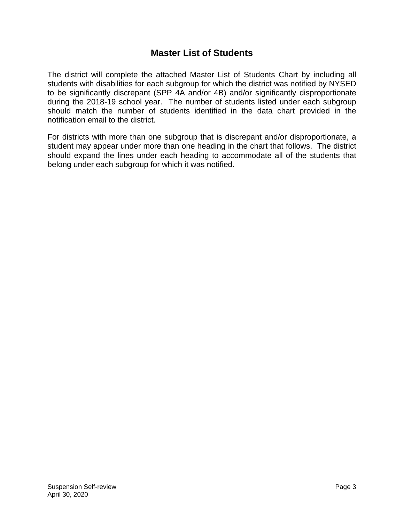### **Master List of Students**

<span id="page-4-0"></span>The district will complete the attached Master List of Students Chart by including all students with disabilities for each subgroup for which the district was notified by NYSED to be significantly discrepant (SPP 4A and/or 4B) and/or significantly disproportionate during the 2018-19 school year. The number of students listed under each subgroup should match the number of students identified in the data chart provided in the notification email to the district.

For districts with more than one subgroup that is discrepant and/or disproportionate, a student may appear under more than one heading in the chart that follows. The district should expand the lines under each heading to accommodate all of the students that belong under each subgroup for which it was notified.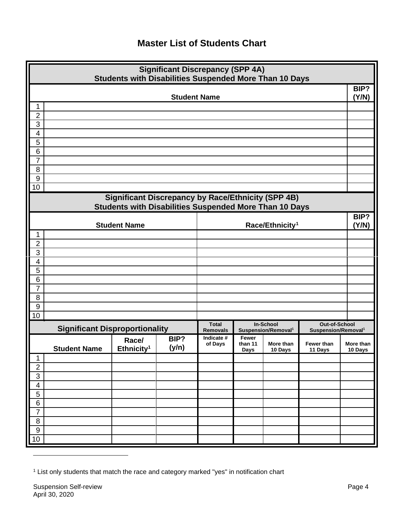## **Master List of Students Chart**

<span id="page-5-0"></span>

| <b>Significant Discrepancy (SPP 4A)</b><br>Students with Disabilities Suspended More Than 10 Days |                                       |                                                           |                     |                                 |                                 |                                              |                                                  |                      |
|---------------------------------------------------------------------------------------------------|---------------------------------------|-----------------------------------------------------------|---------------------|---------------------------------|---------------------------------|----------------------------------------------|--------------------------------------------------|----------------------|
|                                                                                                   |                                       |                                                           | <b>Student Name</b> |                                 |                                 |                                              |                                                  | BIP?<br>(Y/N)        |
| 1                                                                                                 |                                       |                                                           |                     |                                 |                                 |                                              |                                                  |                      |
| $\overline{2}$<br>$\overline{3}$                                                                  |                                       |                                                           |                     |                                 |                                 |                                              |                                                  |                      |
| $\overline{\mathbf{4}}$                                                                           |                                       |                                                           |                     |                                 |                                 |                                              |                                                  |                      |
| 5                                                                                                 |                                       |                                                           |                     |                                 |                                 |                                              |                                                  |                      |
| 6                                                                                                 |                                       |                                                           |                     |                                 |                                 |                                              |                                                  |                      |
| $\overline{7}$                                                                                    |                                       |                                                           |                     |                                 |                                 |                                              |                                                  |                      |
| 8<br>9                                                                                            |                                       |                                                           |                     |                                 |                                 |                                              |                                                  |                      |
| 10                                                                                                |                                       |                                                           |                     |                                 |                                 |                                              |                                                  |                      |
|                                                                                                   |                                       | <b>Significant Discrepancy by Race/Ethnicity (SPP 4B)</b> |                     |                                 |                                 |                                              |                                                  |                      |
|                                                                                                   |                                       | Students with Disabilities Suspended More Than 10 Days    |                     |                                 |                                 |                                              |                                                  |                      |
|                                                                                                   |                                       |                                                           |                     |                                 |                                 |                                              |                                                  | BIP?                 |
|                                                                                                   |                                       | <b>Student Name</b>                                       |                     |                                 |                                 | Race/Ethnicity <sup>1</sup>                  |                                                  | (Y/N)                |
| 1<br>$\overline{2}$                                                                               |                                       |                                                           |                     |                                 |                                 |                                              |                                                  |                      |
| 3                                                                                                 |                                       |                                                           |                     |                                 |                                 |                                              |                                                  |                      |
| $\overline{\mathbf{4}}$                                                                           |                                       |                                                           |                     |                                 |                                 |                                              |                                                  |                      |
| $\overline{5}$                                                                                    |                                       |                                                           |                     |                                 |                                 |                                              |                                                  |                      |
| 6                                                                                                 |                                       |                                                           |                     |                                 |                                 |                                              |                                                  |                      |
| $\overline{7}$<br>8                                                                               |                                       |                                                           |                     |                                 |                                 |                                              |                                                  |                      |
| $\overline{9}$                                                                                    |                                       |                                                           |                     |                                 |                                 |                                              |                                                  |                      |
| 10                                                                                                |                                       |                                                           |                     |                                 |                                 |                                              |                                                  |                      |
|                                                                                                   | <b>Significant Disproportionality</b> |                                                           |                     | <b>Total</b><br><b>Removals</b> |                                 | In-School<br>Suspension/Removal <sup>1</sup> | Out-of-School<br>Suspension/Removal <sup>1</sup> |                      |
|                                                                                                   | <b>Student Name</b>                   | Race/<br>Ethnicity <sup>1</sup>                           | BIP?<br>(y/n)       | Indicate #<br>of Days           | Fewer<br>than 11<br><b>Days</b> | More than<br>10 Days                         | Fewer than<br>11 Days                            | More than<br>10 Days |
| 1                                                                                                 |                                       |                                                           |                     |                                 |                                 |                                              |                                                  |                      |
| $\overline{2}$                                                                                    |                                       |                                                           |                     |                                 |                                 |                                              |                                                  |                      |
| $\overline{3}$<br>$\overline{4}$                                                                  |                                       |                                                           |                     |                                 |                                 |                                              |                                                  |                      |
| 5                                                                                                 |                                       |                                                           |                     |                                 |                                 |                                              |                                                  |                      |
| 6                                                                                                 |                                       |                                                           |                     |                                 |                                 |                                              |                                                  |                      |
| $\overline{7}$                                                                                    |                                       |                                                           |                     |                                 |                                 |                                              |                                                  |                      |
| $\overline{8}$                                                                                    |                                       |                                                           |                     |                                 |                                 |                                              |                                                  |                      |
| 9                                                                                                 |                                       |                                                           |                     |                                 |                                 |                                              |                                                  |                      |
| 10                                                                                                |                                       |                                                           |                     |                                 |                                 |                                              |                                                  |                      |

<span id="page-5-1"></span><sup>1</sup> List only students that match the race and category marked "yes" in notification chart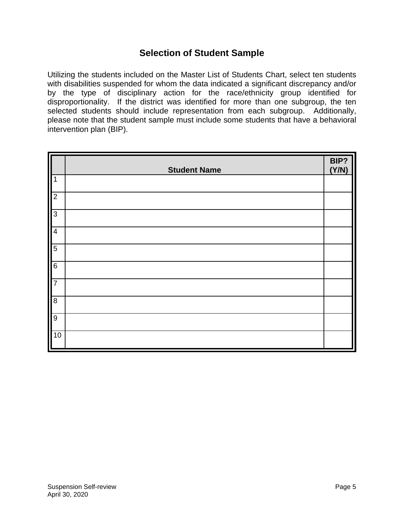## **Selection of Student Sample**

<span id="page-6-0"></span>Utilizing the students included on the Master List of Students Chart, select ten students with disabilities suspended for whom the data indicated a significant discrepancy and/or by the type of disciplinary action for the race/ethnicity group identified for disproportionality. If the district was identified for more than one subgroup, the ten selected students should include representation from each subgroup. Additionally, please note that the student sample must include some students that have a behavioral intervention plan (BIP).

|                  | <b>Student Name</b> | BIP?<br>(Y/N) |
|------------------|---------------------|---------------|
| $\mathbf 1$      |                     |               |
| $\overline{2}$   |                     |               |
| လ                |                     |               |
| $\overline{4}$   |                     |               |
| $\overline{5}$   |                     |               |
| $\overline{6}$   |                     |               |
| $\frac{1}{7}$    |                     |               |
| $\bf 8$          |                     |               |
| $\boldsymbol{9}$ |                     |               |
| 10               |                     |               |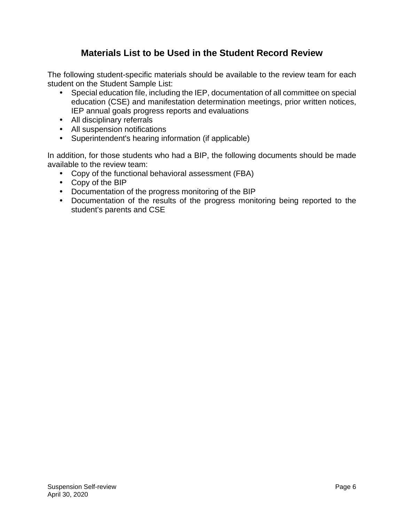## **Materials List to be Used in the Student Record Review**

<span id="page-7-0"></span>The following student-specific materials should be available to the review team for each student on the Student Sample List:

- Special education file, including the IEP, documentation of all committee on special education (CSE) and manifestation determination meetings, prior written notices, IEP annual goals progress reports and evaluations
- All disciplinary referrals
- All suspension notifications
- Superintendent's hearing information (if applicable)

In addition, for those students who had a BIP, the following documents should be made available to the review team:

- Copy of the functional behavioral assessment (FBA)
- Copy of the BIP
- Documentation of the progress monitoring of the BIP
- Documentation of the results of the progress monitoring being reported to the student's parents and CSE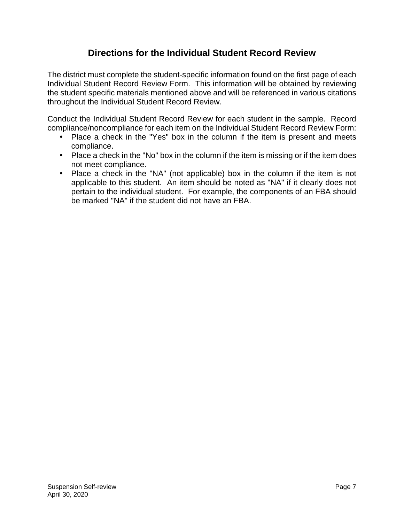## **Directions for the Individual Student Record Review**

<span id="page-8-0"></span>The district must complete the student-specific information found on the first page of each Individual Student Record Review Form. This information will be obtained by reviewing the student specific materials mentioned above and will be referenced in various citations throughout the Individual Student Record Review.

Conduct the Individual Student Record Review for each student in the sample. Record compliance/noncompliance for each item on the Individual Student Record Review Form:

- Place a check in the "Yes" box in the column if the item is present and meets compliance.
- Place a check in the "No" box in the column if the item is missing or if the item does not meet compliance.
- Place a check in the "NA" (not applicable) box in the column if the item is not applicable to this student. An item should be noted as "NA" if it clearly does not pertain to the individual student. For example, the components of an FBA should be marked "NA" if the student did not have an FBA.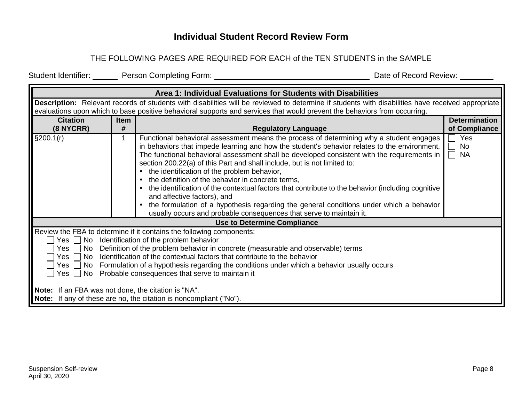## **Individual Student Record Review Form**

#### THE FOLLOWING PAGES ARE REQUIRED FOR EACH of the TEN STUDENTS in the SAMPLE

Student Identifier: Person Completing Form: Date of Record Review:

<span id="page-9-0"></span>

|                                                                                                                                                                                                                                                                                                                                                                                                                                                                                                      |                                                                                                                                                   | Area 1: Individual Evaluations for Students with Disabilities                                                                                                                                                                                                                                                                                                                                                                                                                                                                                                                                                                                                                                                                                                                               |                        |  |  |  |  |  |
|------------------------------------------------------------------------------------------------------------------------------------------------------------------------------------------------------------------------------------------------------------------------------------------------------------------------------------------------------------------------------------------------------------------------------------------------------------------------------------------------------|---------------------------------------------------------------------------------------------------------------------------------------------------|---------------------------------------------------------------------------------------------------------------------------------------------------------------------------------------------------------------------------------------------------------------------------------------------------------------------------------------------------------------------------------------------------------------------------------------------------------------------------------------------------------------------------------------------------------------------------------------------------------------------------------------------------------------------------------------------------------------------------------------------------------------------------------------------|------------------------|--|--|--|--|--|
|                                                                                                                                                                                                                                                                                                                                                                                                                                                                                                      | Description: Relevant records of students with disabilities will be reviewed to determine if students with disabilities have received appropriate |                                                                                                                                                                                                                                                                                                                                                                                                                                                                                                                                                                                                                                                                                                                                                                                             |                        |  |  |  |  |  |
|                                                                                                                                                                                                                                                                                                                                                                                                                                                                                                      |                                                                                                                                                   | evaluations upon which to base positive behavioral supports and services that would prevent the behaviors from occurring.                                                                                                                                                                                                                                                                                                                                                                                                                                                                                                                                                                                                                                                                   |                        |  |  |  |  |  |
| <b>Citation</b>                                                                                                                                                                                                                                                                                                                                                                                                                                                                                      | <b>Item</b>                                                                                                                                       |                                                                                                                                                                                                                                                                                                                                                                                                                                                                                                                                                                                                                                                                                                                                                                                             | <b>Determination</b>   |  |  |  |  |  |
| $(8$ NYCRR)                                                                                                                                                                                                                                                                                                                                                                                                                                                                                          | #                                                                                                                                                 | <b>Regulatory Language</b>                                                                                                                                                                                                                                                                                                                                                                                                                                                                                                                                                                                                                                                                                                                                                                  | of Compliance          |  |  |  |  |  |
| §200.1(r)                                                                                                                                                                                                                                                                                                                                                                                                                                                                                            |                                                                                                                                                   | Functional behavioral assessment means the process of determining why a student engages<br>in behaviors that impede learning and how the student's behavior relates to the environment.<br>The functional behavioral assessment shall be developed consistent with the requirements in<br>section 200.22(a) of this Part and shall include, but is not limited to:<br>• the identification of the problem behavior,<br>the definition of the behavior in concrete terms,<br>$\bullet$<br>the identification of the contextual factors that contribute to the behavior (including cognitive<br>and affective factors), and<br>the formulation of a hypothesis regarding the general conditions under which a behavior<br>usually occurs and probable consequences that serve to maintain it. | Yes<br>No<br><b>NA</b> |  |  |  |  |  |
|                                                                                                                                                                                                                                                                                                                                                                                                                                                                                                      |                                                                                                                                                   | <b>Use to Determine Compliance</b>                                                                                                                                                                                                                                                                                                                                                                                                                                                                                                                                                                                                                                                                                                                                                          |                        |  |  |  |  |  |
| Review the FBA to determine if it contains the following components:<br>No Identification of the problem behavior<br>Yes  <br>Definition of the problem behavior in concrete (measurable and observable) terms<br>No<br>Yes<br>Identification of the contextual factors that contribute to the behavior<br>Yes<br>No.<br>Formulation of a hypothesis regarding the conditions under which a behavior usually occurs<br>Yes  <br>No<br>Probable consequences that serve to maintain it<br>  No<br>Yes |                                                                                                                                                   |                                                                                                                                                                                                                                                                                                                                                                                                                                                                                                                                                                                                                                                                                                                                                                                             |                        |  |  |  |  |  |
| <b>Note:</b> If an FBA was not done, the citation is "NA".                                                                                                                                                                                                                                                                                                                                                                                                                                           |                                                                                                                                                   | <b>Note:</b> If any of these are no, the citation is noncompliant ("No").                                                                                                                                                                                                                                                                                                                                                                                                                                                                                                                                                                                                                                                                                                                   |                        |  |  |  |  |  |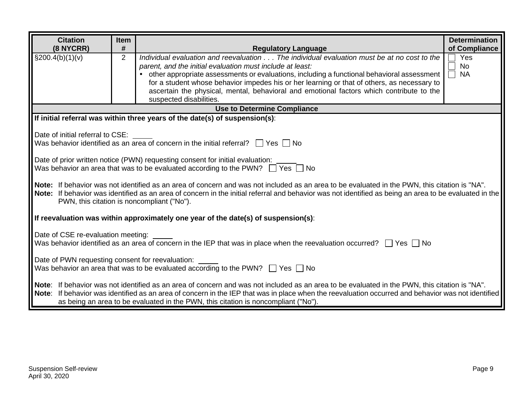| <b>Citation</b>                                                                                                                               |  | <b>Item</b>    |                                                                                                                                                        | <b>Determination</b> |  |
|-----------------------------------------------------------------------------------------------------------------------------------------------|--|----------------|--------------------------------------------------------------------------------------------------------------------------------------------------------|----------------------|--|
| (8 NYCRR)                                                                                                                                     |  | #              | <b>Regulatory Language</b>                                                                                                                             | of Compliance        |  |
| $\S 200.4(b)(1)(v)$                                                                                                                           |  | $\overline{2}$ | Individual evaluation and reevaluation The individual evaluation must be at no cost to the                                                             | Yes                  |  |
|                                                                                                                                               |  |                | parent, and the initial evaluation must include at least:                                                                                              | <b>No</b><br>$\sim$  |  |
|                                                                                                                                               |  |                | other appropriate assessments or evaluations, including a functional behavioral assessment                                                             | $\Box$<br><b>NA</b>  |  |
|                                                                                                                                               |  |                | for a student whose behavior impedes his or her learning or that of others, as necessary to                                                            |                      |  |
|                                                                                                                                               |  |                | ascertain the physical, mental, behavioral and emotional factors which contribute to the<br>suspected disabilities.                                    |                      |  |
|                                                                                                                                               |  |                | <b>Use to Determine Compliance</b>                                                                                                                     |                      |  |
|                                                                                                                                               |  |                | If initial referral was within three years of the date(s) of suspension(s):                                                                            |                      |  |
|                                                                                                                                               |  |                |                                                                                                                                                        |                      |  |
| Date of initial referral to CSE:                                                                                                              |  |                |                                                                                                                                                        |                      |  |
|                                                                                                                                               |  |                | Was behavior identified as an area of concern in the initial referral? $\Box$ Yes $\Box$ No                                                            |                      |  |
|                                                                                                                                               |  |                | Date of prior written notice (PWN) requesting consent for initial evaluation:                                                                          |                      |  |
|                                                                                                                                               |  |                | Was behavior an area that was to be evaluated according to the PWN? $\Box$ Yes $\Box$ No                                                               |                      |  |
|                                                                                                                                               |  |                |                                                                                                                                                        |                      |  |
|                                                                                                                                               |  |                | Note: If behavior was not identified as an area of concern and was not included as an area to be evaluated in the PWN, this citation is "NA".          |                      |  |
|                                                                                                                                               |  |                | Note: If behavior was identified as an area of concern in the initial referral and behavior was not identified as being an area to be evaluated in the |                      |  |
|                                                                                                                                               |  |                | PWN, this citation is noncompliant ("No").                                                                                                             |                      |  |
|                                                                                                                                               |  |                | If reevaluation was within approximately one year of the date(s) of suspension(s):                                                                     |                      |  |
|                                                                                                                                               |  |                |                                                                                                                                                        |                      |  |
| Date of CSE re-evaluation meeting:                                                                                                            |  |                |                                                                                                                                                        |                      |  |
|                                                                                                                                               |  |                | Was behavior identified as an area of concern in the IEP that was in place when the reevaluation occurred? $\Box$ Yes $\Box$ No                        |                      |  |
|                                                                                                                                               |  |                |                                                                                                                                                        |                      |  |
| Date of PWN requesting consent for reevaluation:                                                                                              |  |                |                                                                                                                                                        |                      |  |
| Was behavior an area that was to be evaluated according to the PWN? $\Box$ Yes $\Box$ No                                                      |  |                |                                                                                                                                                        |                      |  |
| Note: If behavior was not identified as an area of concern and was not included as an area to be evaluated in the PWN, this citation is "NA". |  |                |                                                                                                                                                        |                      |  |
|                                                                                                                                               |  |                | Note: If behavior was identified as an area of concern in the IEP that was in place when the reevaluation occurred and behavior was not identified     |                      |  |
|                                                                                                                                               |  |                | as being an area to be evaluated in the PWN, this citation is noncompliant ("No").                                                                     |                      |  |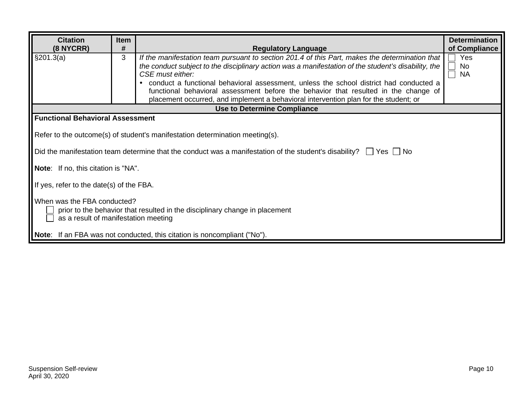| <b>Citation</b><br>(8 NYCRR)                                                                                                                       | Item<br># | <b>Regulatory Language</b>                                                                                                                                                                                                                                                                                                                                                                                                                                                                         | <b>Determination</b><br>of Compliance |  |  |  |
|----------------------------------------------------------------------------------------------------------------------------------------------------|-----------|----------------------------------------------------------------------------------------------------------------------------------------------------------------------------------------------------------------------------------------------------------------------------------------------------------------------------------------------------------------------------------------------------------------------------------------------------------------------------------------------------|---------------------------------------|--|--|--|
| §201.3(a)                                                                                                                                          | 3         | If the manifestation team pursuant to section 201.4 of this Part, makes the determination that<br>the conduct subject to the disciplinary action was a manifestation of the student's disability, the<br>CSE must either:<br>conduct a functional behavioral assessment, unless the school district had conducted a<br>functional behavioral assessment before the behavior that resulted in the change of<br>placement occurred, and implement a behavioral intervention plan for the student; or | Yes<br>No.<br><b>NA</b>               |  |  |  |
|                                                                                                                                                    |           | <b>Use to Determine Compliance</b>                                                                                                                                                                                                                                                                                                                                                                                                                                                                 |                                       |  |  |  |
| <b>Functional Behavioral Assessment</b>                                                                                                            |           |                                                                                                                                                                                                                                                                                                                                                                                                                                                                                                    |                                       |  |  |  |
|                                                                                                                                                    |           | Refer to the outcome(s) of student's manifestation determination meeting(s).                                                                                                                                                                                                                                                                                                                                                                                                                       |                                       |  |  |  |
|                                                                                                                                                    |           | Did the manifestation team determine that the conduct was a manifestation of the student's disability? $\Box$ Yes $\Box$ No                                                                                                                                                                                                                                                                                                                                                                        |                                       |  |  |  |
| <b>Note:</b> If no, this citation is "NA".                                                                                                         |           |                                                                                                                                                                                                                                                                                                                                                                                                                                                                                                    |                                       |  |  |  |
| If yes, refer to the date(s) of the FBA.                                                                                                           |           |                                                                                                                                                                                                                                                                                                                                                                                                                                                                                                    |                                       |  |  |  |
| When was the FBA conducted?<br>prior to the behavior that resulted in the disciplinary change in placement<br>as a result of manifestation meeting |           |                                                                                                                                                                                                                                                                                                                                                                                                                                                                                                    |                                       |  |  |  |
|                                                                                                                                                    |           | Note: If an FBA was not conducted, this citation is noncompliant ("No").                                                                                                                                                                                                                                                                                                                                                                                                                           |                                       |  |  |  |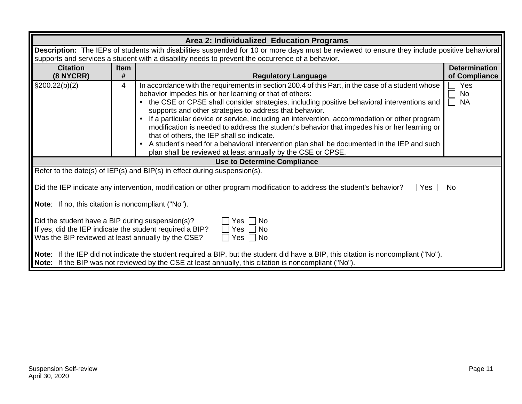|                                                                         |             | Area 2: Individualized Education Programs                                                                                                              |                      |  |  |  |  |
|-------------------------------------------------------------------------|-------------|--------------------------------------------------------------------------------------------------------------------------------------------------------|----------------------|--|--|--|--|
|                                                                         |             | Description: The IEPs of students with disabilities suspended for 10 or more days must be reviewed to ensure they include positive behavioral          |                      |  |  |  |  |
|                                                                         |             | supports and services a student with a disability needs to prevent the occurrence of a behavior.                                                       |                      |  |  |  |  |
| <b>Citation</b>                                                         | <b>Item</b> |                                                                                                                                                        | <b>Determination</b> |  |  |  |  |
| (8 NYCRR)                                                               | #           | <b>Regulatory Language</b>                                                                                                                             | of Compliance        |  |  |  |  |
| $\S200.22(b)(2)$                                                        | 4           | In accordance with the requirements in section 200.4 of this Part, in the case of a student whose                                                      | Yes                  |  |  |  |  |
|                                                                         |             | behavior impedes his or her learning or that of others:                                                                                                | <b>No</b>            |  |  |  |  |
|                                                                         |             | the CSE or CPSE shall consider strategies, including positive behavioral interventions and                                                             | <b>NA</b>            |  |  |  |  |
|                                                                         |             | supports and other strategies to address that behavior.                                                                                                |                      |  |  |  |  |
|                                                                         |             | If a particular device or service, including an intervention, accommodation or other program                                                           |                      |  |  |  |  |
|                                                                         |             | modification is needed to address the student's behavior that impedes his or her learning or                                                           |                      |  |  |  |  |
|                                                                         |             | that of others, the IEP shall so indicate.<br>A student's need for a behavioral intervention plan shall be documented in the IEP and such<br>$\bullet$ |                      |  |  |  |  |
|                                                                         |             | plan shall be reviewed at least annually by the CSE or CPSE.                                                                                           |                      |  |  |  |  |
|                                                                         |             | <b>Use to Determine Compliance</b>                                                                                                                     |                      |  |  |  |  |
|                                                                         |             | Refer to the date(s) of IEP(s) and BIP(s) in effect during suspension(s).                                                                              |                      |  |  |  |  |
|                                                                         |             |                                                                                                                                                        |                      |  |  |  |  |
|                                                                         |             | Did the IEP indicate any intervention, modification or other program modification to address the student's behavior? $\Box$ Yes $\Box$ No              |                      |  |  |  |  |
| <b>Note:</b> If no, this citation is noncompliant ("No").               |             |                                                                                                                                                        |                      |  |  |  |  |
| Did the student have a BIP during suspension(s)?<br>  No<br>Yes         |             |                                                                                                                                                        |                      |  |  |  |  |
| If yes, did the IEP indicate the student required a BIP?<br>  No<br>Yes |             |                                                                                                                                                        |                      |  |  |  |  |
| Was the BIP reviewed at least annually by the CSE?<br>  No<br>Yes       |             |                                                                                                                                                        |                      |  |  |  |  |
|                                                                         |             | Note: If the IEP did not indicate the student required a BIP, but the student did have a BIP, this citation is noncompliant ("No").                    |                      |  |  |  |  |
|                                                                         |             | <b>Note:</b> If the BIP was not reviewed by the CSE at least annually, this citation is noncompliant ("No").                                           |                      |  |  |  |  |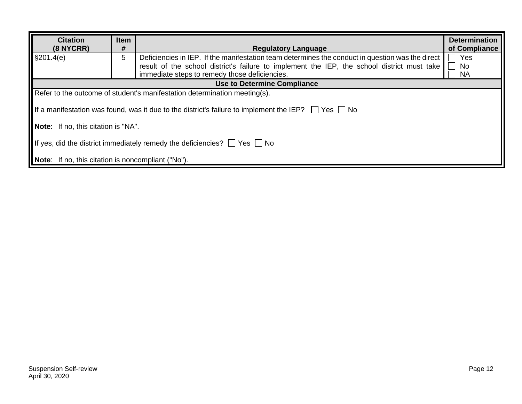| <b>Citation</b><br>$(8$ NYCRR)                                                     | <b>Item</b><br># | <b>Regulatory Language</b>                                                                                                                                                                                                                       | <b>Determination</b><br>of Compliance |  |  |
|------------------------------------------------------------------------------------|------------------|--------------------------------------------------------------------------------------------------------------------------------------------------------------------------------------------------------------------------------------------------|---------------------------------------|--|--|
| §201.4(e)                                                                          | 5                | Deficiencies in IEP. If the manifestation team determines the conduct in question was the direct<br>result of the school district's failure to implement the IEP, the school district must take<br>immediate steps to remedy those deficiencies. | Yes<br>No<br><b>NA</b>                |  |  |
|                                                                                    |                  | <b>Use to Determine Compliance</b>                                                                                                                                                                                                               |                                       |  |  |
|                                                                                    |                  | Refer to the outcome of student's manifestation determination meeting(s).                                                                                                                                                                        |                                       |  |  |
|                                                                                    |                  | If a manifestation was found, was it due to the district's failure to implement the IEP? $\Box$ Yes $\Box$ No                                                                                                                                    |                                       |  |  |
| <b>Note:</b> If no, this citation is "NA".                                         |                  |                                                                                                                                                                                                                                                  |                                       |  |  |
| If yes, did the district immediately remedy the deficiencies? $\Box$ Yes $\Box$ No |                  |                                                                                                                                                                                                                                                  |                                       |  |  |
| <b>Note:</b> If no, this citation is noncompliant ("No").                          |                  |                                                                                                                                                                                                                                                  |                                       |  |  |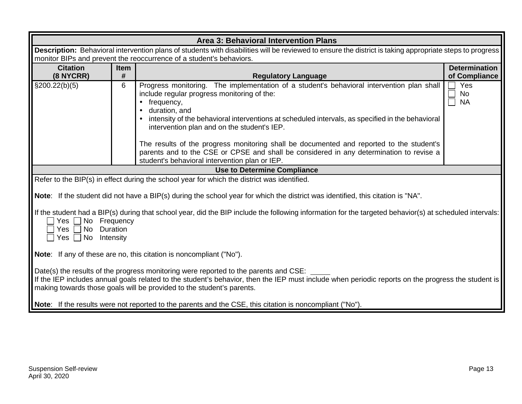| Area 3: Behavioral Intervention Plans                                                                                                                                                                                                      |                                                                                                                                                          |                                                                                                                                                                                     |                                       |  |  |  |
|--------------------------------------------------------------------------------------------------------------------------------------------------------------------------------------------------------------------------------------------|----------------------------------------------------------------------------------------------------------------------------------------------------------|-------------------------------------------------------------------------------------------------------------------------------------------------------------------------------------|---------------------------------------|--|--|--|
|                                                                                                                                                                                                                                            | Description: Behavioral intervention plans of students with disabilities will be reviewed to ensure the district is taking appropriate steps to progress |                                                                                                                                                                                     |                                       |  |  |  |
|                                                                                                                                                                                                                                            | monitor BIPs and prevent the reoccurrence of a student's behaviors.                                                                                      |                                                                                                                                                                                     |                                       |  |  |  |
| <b>Citation</b><br>(8 NYCRR)                                                                                                                                                                                                               | Item<br>#                                                                                                                                                | <b>Regulatory Language</b>                                                                                                                                                          | <b>Determination</b><br>of Compliance |  |  |  |
| $\S200.22(b)(5)$                                                                                                                                                                                                                           | 6                                                                                                                                                        | Progress monitoring. The implementation of a student's behavioral intervention plan shall                                                                                           | Yes<br>$\vert \ \ \vert$              |  |  |  |
|                                                                                                                                                                                                                                            |                                                                                                                                                          | include regular progress monitoring of the:                                                                                                                                         | $\square$<br><b>No</b>                |  |  |  |
|                                                                                                                                                                                                                                            |                                                                                                                                                          | frequency,<br>$\bullet$                                                                                                                                                             | <b>NA</b>                             |  |  |  |
|                                                                                                                                                                                                                                            |                                                                                                                                                          | duration, and<br>$\bullet$                                                                                                                                                          |                                       |  |  |  |
|                                                                                                                                                                                                                                            |                                                                                                                                                          | intensity of the behavioral interventions at scheduled intervals, as specified in the behavioral                                                                                    |                                       |  |  |  |
|                                                                                                                                                                                                                                            |                                                                                                                                                          | intervention plan and on the student's IEP.                                                                                                                                         |                                       |  |  |  |
|                                                                                                                                                                                                                                            |                                                                                                                                                          |                                                                                                                                                                                     |                                       |  |  |  |
|                                                                                                                                                                                                                                            |                                                                                                                                                          | The results of the progress monitoring shall be documented and reported to the student's<br>parents and to the CSE or CPSE and shall be considered in any determination to revise a |                                       |  |  |  |
|                                                                                                                                                                                                                                            |                                                                                                                                                          | student's behavioral intervention plan or IEP.                                                                                                                                      |                                       |  |  |  |
|                                                                                                                                                                                                                                            |                                                                                                                                                          | <b>Use to Determine Compliance</b>                                                                                                                                                  |                                       |  |  |  |
|                                                                                                                                                                                                                                            |                                                                                                                                                          | Refer to the BIP(s) in effect during the school year for which the district was identified.                                                                                         |                                       |  |  |  |
|                                                                                                                                                                                                                                            |                                                                                                                                                          |                                                                                                                                                                                     |                                       |  |  |  |
|                                                                                                                                                                                                                                            |                                                                                                                                                          | <b>Note:</b> If the student did not have a BIP(s) during the school year for which the district was identified, this citation is "NA".                                              |                                       |  |  |  |
|                                                                                                                                                                                                                                            |                                                                                                                                                          | If the student had a BIP(s) during that school year, did the BIP include the following information for the targeted behavior(s) at scheduled intervals:                             |                                       |  |  |  |
| No Frequency<br>Yes $ $                                                                                                                                                                                                                    |                                                                                                                                                          |                                                                                                                                                                                     |                                       |  |  |  |
| No Duration<br>Yes                                                                                                                                                                                                                         |                                                                                                                                                          |                                                                                                                                                                                     |                                       |  |  |  |
| $\Box$ Yes $\Box$ No Intensity                                                                                                                                                                                                             |                                                                                                                                                          |                                                                                                                                                                                     |                                       |  |  |  |
|                                                                                                                                                                                                                                            |                                                                                                                                                          |                                                                                                                                                                                     |                                       |  |  |  |
| Note: If any of these are no, this citation is noncompliant ("No").                                                                                                                                                                        |                                                                                                                                                          |                                                                                                                                                                                     |                                       |  |  |  |
|                                                                                                                                                                                                                                            |                                                                                                                                                          |                                                                                                                                                                                     |                                       |  |  |  |
| Date(s) the results of the progress monitoring were reported to the parents and CSE:<br>If the IEP includes annual goals related to the student's behavior, then the IEP must include when periodic reports on the progress the student is |                                                                                                                                                          |                                                                                                                                                                                     |                                       |  |  |  |
| making towards those goals will be provided to the student's parents.                                                                                                                                                                      |                                                                                                                                                          |                                                                                                                                                                                     |                                       |  |  |  |
|                                                                                                                                                                                                                                            |                                                                                                                                                          |                                                                                                                                                                                     |                                       |  |  |  |
|                                                                                                                                                                                                                                            |                                                                                                                                                          | Note: If the results were not reported to the parents and the CSE, this citation is noncompliant ("No").                                                                            |                                       |  |  |  |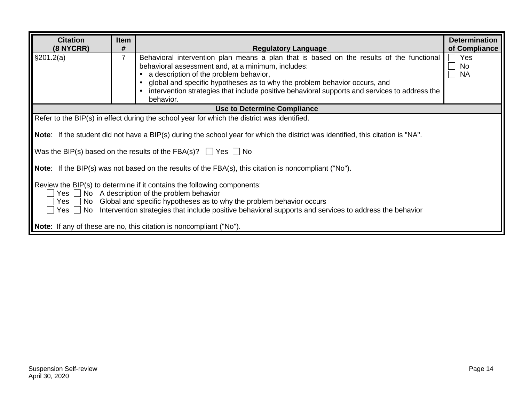| <b>Citation</b>                                                                                                                                                                                                                                                                                                                                        | <b>Item</b>         |                                                                                                                                        | <b>Determination</b>                 |  |  |  |
|--------------------------------------------------------------------------------------------------------------------------------------------------------------------------------------------------------------------------------------------------------------------------------------------------------------------------------------------------------|---------------------|----------------------------------------------------------------------------------------------------------------------------------------|--------------------------------------|--|--|--|
| (8 NYCRR)<br>\$201.2(a)                                                                                                                                                                                                                                                                                                                                | #<br>$\overline{7}$ | <b>Regulatory Language</b><br>Behavioral intervention plan means a plan that is based on the results of the functional                 | of Compliance<br>Yes<br>$\mathsf{L}$ |  |  |  |
|                                                                                                                                                                                                                                                                                                                                                        |                     | behavioral assessment and, at a minimum, includes:                                                                                     | No                                   |  |  |  |
|                                                                                                                                                                                                                                                                                                                                                        |                     | a description of the problem behavior,                                                                                                 | <b>NA</b>                            |  |  |  |
|                                                                                                                                                                                                                                                                                                                                                        |                     | global and specific hypotheses as to why the problem behavior occurs, and                                                              |                                      |  |  |  |
|                                                                                                                                                                                                                                                                                                                                                        |                     | intervention strategies that include positive behavioral supports and services to address the<br>behavior.                             |                                      |  |  |  |
|                                                                                                                                                                                                                                                                                                                                                        |                     | <b>Use to Determine Compliance</b>                                                                                                     |                                      |  |  |  |
|                                                                                                                                                                                                                                                                                                                                                        |                     | Refer to the BIP(s) in effect during the school year for which the district was identified.                                            |                                      |  |  |  |
|                                                                                                                                                                                                                                                                                                                                                        |                     |                                                                                                                                        |                                      |  |  |  |
|                                                                                                                                                                                                                                                                                                                                                        |                     | <b>Note:</b> If the student did not have a BIP(s) during the school year for which the district was identified, this citation is "NA". |                                      |  |  |  |
|                                                                                                                                                                                                                                                                                                                                                        |                     | Was the BIP(s) based on the results of the FBA(s)? $\Box$ Yes $\Box$ No                                                                |                                      |  |  |  |
|                                                                                                                                                                                                                                                                                                                                                        |                     | <b>Note:</b> If the BIP(s) was not based on the results of the FBA(s), this citation is noncompliant ("No").                           |                                      |  |  |  |
| Review the BIP(s) to determine if it contains the following components:<br>$Yes \tN$ No A description of the problem behavior<br>$Yes \fbox{} No \fbox{} Global$ and specific hypotheses as to why the problem behavior occurs<br>Yes $\Box$ No Intervention strategies that include positive behavioral supports and services to address the behavior |                     |                                                                                                                                        |                                      |  |  |  |
|                                                                                                                                                                                                                                                                                                                                                        |                     | <b>Note:</b> If any of these are no, this citation is noncompliant ("No").                                                             |                                      |  |  |  |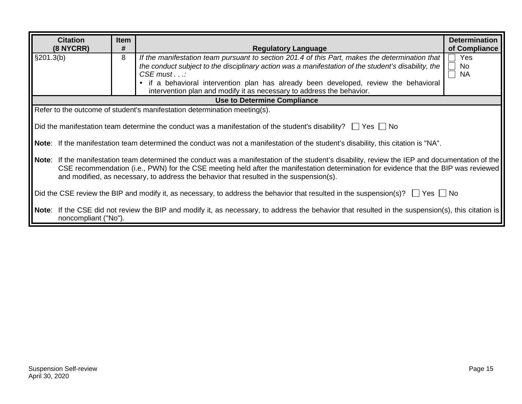|                                                                                                                                          | <b>Citation</b>                                                                                                                                                                                                                                                                                                                                                              | <b>Item</b> |                                                                                                                                                                                                                                                                                                                                                                                              | <b>Determination</b>                                       |  |  |  |
|------------------------------------------------------------------------------------------------------------------------------------------|------------------------------------------------------------------------------------------------------------------------------------------------------------------------------------------------------------------------------------------------------------------------------------------------------------------------------------------------------------------------------|-------------|----------------------------------------------------------------------------------------------------------------------------------------------------------------------------------------------------------------------------------------------------------------------------------------------------------------------------------------------------------------------------------------------|------------------------------------------------------------|--|--|--|
|                                                                                                                                          | $(8$ NYCRR)                                                                                                                                                                                                                                                                                                                                                                  | #           | <b>Regulatory Language</b>                                                                                                                                                                                                                                                                                                                                                                   | of Compliance                                              |  |  |  |
| $\S201.3(b)$                                                                                                                             |                                                                                                                                                                                                                                                                                                                                                                              | 8           | If the manifestation team pursuant to section 201.4 of this Part, makes the determination that<br>the conduct subject to the disciplinary action was a manifestation of the student's disability, the<br>$CSE$ must $\ldots$<br>if a behavioral intervention plan has already been developed, review the behavioral<br>intervention plan and modify it as necessary to address the behavior. | Yes<br>$\mathbf{I}$<br>No<br>$\Box$<br>$\Box$<br><b>NA</b> |  |  |  |
|                                                                                                                                          |                                                                                                                                                                                                                                                                                                                                                                              |             | <b>Use to Determine Compliance</b>                                                                                                                                                                                                                                                                                                                                                           |                                                            |  |  |  |
|                                                                                                                                          |                                                                                                                                                                                                                                                                                                                                                                              |             | Refer to the outcome of student's manifestation determination meeting(s).                                                                                                                                                                                                                                                                                                                    |                                                            |  |  |  |
|                                                                                                                                          |                                                                                                                                                                                                                                                                                                                                                                              |             | Did the manifestation team determine the conduct was a manifestation of the student's disability? $\Box$ Yes $\Box$ No                                                                                                                                                                                                                                                                       |                                                            |  |  |  |
|                                                                                                                                          |                                                                                                                                                                                                                                                                                                                                                                              |             | Note: If the manifestation team determined the conduct was not a manifestation of the student's disability, this citation is "NA".                                                                                                                                                                                                                                                           |                                                            |  |  |  |
| Note:                                                                                                                                    | If the manifestation team determined the conduct was a manifestation of the student's disability, review the IEP and documentation of the<br>CSE recommendation (i.e., PWN) for the CSE meeting held after the manifestation determination for evidence that the BIP was reviewed<br>and modified, as necessary, to address the behavior that resulted in the suspension(s). |             |                                                                                                                                                                                                                                                                                                                                                                                              |                                                            |  |  |  |
| Did the CSE review the BIP and modify it, as necessary, to address the behavior that resulted in the suspension(s)? $\Box$ Yes $\Box$ No |                                                                                                                                                                                                                                                                                                                                                                              |             |                                                                                                                                                                                                                                                                                                                                                                                              |                                                            |  |  |  |
|                                                                                                                                          | noncompliant ("No").                                                                                                                                                                                                                                                                                                                                                         |             | Note: If the CSE did not review the BIP and modify it, as necessary, to address the behavior that resulted in the suspension(s), this citation is                                                                                                                                                                                                                                            |                                                            |  |  |  |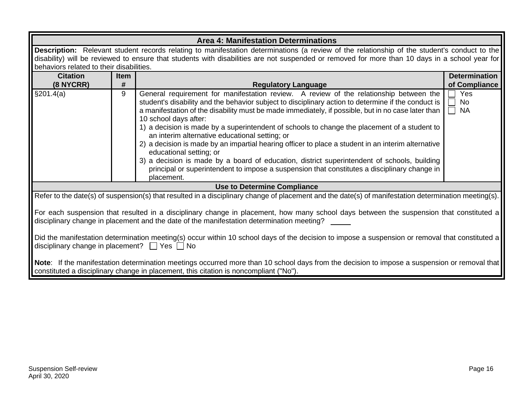|                                                                                                                                                                                                                                      | <b>Area 4: Manifestation Determinations</b>                                                                                                                                                                                                                                                                                                |                                                                                                                                                                                                                                                                                                                                                                                                                                                                                                                                                                                                                                                                                                                                                                                                                              |                                       |  |  |  |  |
|--------------------------------------------------------------------------------------------------------------------------------------------------------------------------------------------------------------------------------------|--------------------------------------------------------------------------------------------------------------------------------------------------------------------------------------------------------------------------------------------------------------------------------------------------------------------------------------------|------------------------------------------------------------------------------------------------------------------------------------------------------------------------------------------------------------------------------------------------------------------------------------------------------------------------------------------------------------------------------------------------------------------------------------------------------------------------------------------------------------------------------------------------------------------------------------------------------------------------------------------------------------------------------------------------------------------------------------------------------------------------------------------------------------------------------|---------------------------------------|--|--|--|--|
|                                                                                                                                                                                                                                      | Description: Relevant student records relating to manifestation determinations (a review of the relationship of the student's conduct to the<br>disability) will be reviewed to ensure that students with disabilities are not suspended or removed for more than 10 days in a school year for<br>behaviors related to their disabilities. |                                                                                                                                                                                                                                                                                                                                                                                                                                                                                                                                                                                                                                                                                                                                                                                                                              |                                       |  |  |  |  |
| <b>Citation</b><br>$(8$ NYCRR)                                                                                                                                                                                                       | <b>Item</b><br>#                                                                                                                                                                                                                                                                                                                           | <b>Regulatory Language</b>                                                                                                                                                                                                                                                                                                                                                                                                                                                                                                                                                                                                                                                                                                                                                                                                   | <b>Determination</b><br>of Compliance |  |  |  |  |
| §201.4(a)                                                                                                                                                                                                                            | 9                                                                                                                                                                                                                                                                                                                                          | General requirement for manifestation review. A review of the relationship between the<br>student's disability and the behavior subject to disciplinary action to determine if the conduct is<br>a manifestation of the disability must be made immediately, if possible, but in no case later than<br>10 school days after:<br>1) a decision is made by a superintendent of schools to change the placement of a student to<br>an interim alternative educational setting; or<br>2) a decision is made by an impartial hearing officer to place a student in an interim alternative<br>educational setting; or<br>3) a decision is made by a board of education, district superintendent of schools, building<br>principal or superintendent to impose a suspension that constitutes a disciplinary change in<br>placement. | Yes<br><b>No</b><br><b>NA</b>         |  |  |  |  |
|                                                                                                                                                                                                                                      |                                                                                                                                                                                                                                                                                                                                            | <b>Use to Determine Compliance</b>                                                                                                                                                                                                                                                                                                                                                                                                                                                                                                                                                                                                                                                                                                                                                                                           |                                       |  |  |  |  |
|                                                                                                                                                                                                                                      |                                                                                                                                                                                                                                                                                                                                            | Refer to the date(s) of suspension(s) that resulted in a disciplinary change of placement and the date(s) of manifestation determination meeting(s).                                                                                                                                                                                                                                                                                                                                                                                                                                                                                                                                                                                                                                                                         |                                       |  |  |  |  |
| For each suspension that resulted in a disciplinary change in placement, how many school days between the suspension that constituted a<br>disciplinary change in placement and the date of the manifestation determination meeting? |                                                                                                                                                                                                                                                                                                                                            |                                                                                                                                                                                                                                                                                                                                                                                                                                                                                                                                                                                                                                                                                                                                                                                                                              |                                       |  |  |  |  |
| Did the manifestation determination meeting(s) occur within 10 school days of the decision to impose a suspension or removal that constituted a<br>disciplinary change in placement? $\Box$ Yes $\Box$ No                            |                                                                                                                                                                                                                                                                                                                                            |                                                                                                                                                                                                                                                                                                                                                                                                                                                                                                                                                                                                                                                                                                                                                                                                                              |                                       |  |  |  |  |
|                                                                                                                                                                                                                                      |                                                                                                                                                                                                                                                                                                                                            | Note: If the manifestation determination meetings occurred more than 10 school days from the decision to impose a suspension or removal that<br>constituted a disciplinary change in placement, this citation is noncompliant ("No").                                                                                                                                                                                                                                                                                                                                                                                                                                                                                                                                                                                        |                                       |  |  |  |  |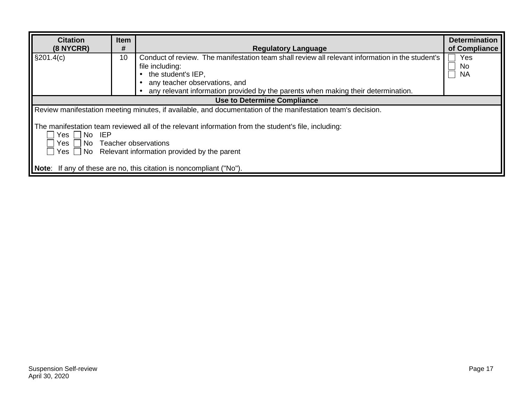| <b>Citation</b><br><b>Item</b>                                                                                                                                                                                                |    |                                                                                                                                                                                         |                        |  |  |  |  |
|-------------------------------------------------------------------------------------------------------------------------------------------------------------------------------------------------------------------------------|----|-----------------------------------------------------------------------------------------------------------------------------------------------------------------------------------------|------------------------|--|--|--|--|
| $(8$ NYCRR)                                                                                                                                                                                                                   | #  | <b>Regulatory Language</b>                                                                                                                                                              | of Compliance          |  |  |  |  |
| $\S201.4(c)$                                                                                                                                                                                                                  | 10 | Conduct of review. The manifestation team shall review all relevant information in the student's<br>file including:<br>the student's IEP,<br>$\bullet$<br>any teacher observations, and | Yes<br>No<br><b>NA</b> |  |  |  |  |
|                                                                                                                                                                                                                               |    | any relevant information provided by the parents when making their determination.                                                                                                       |                        |  |  |  |  |
|                                                                                                                                                                                                                               |    | <b>Use to Determine Compliance</b>                                                                                                                                                      |                        |  |  |  |  |
| Review manifestation meeting minutes, if available, and documentation of the manifestation team's decision.                                                                                                                   |    |                                                                                                                                                                                         |                        |  |  |  |  |
| The manifestation team reviewed all of the relevant information from the student's file, including:<br>Yes   No IEP<br>Yes $\Box$ No Teacher observations<br>$\Box$ Yes $\Box$ No Relevant information provided by the parent |    |                                                                                                                                                                                         |                        |  |  |  |  |
| <b>Note:</b> If any of these are no, this citation is noncompliant ("No").                                                                                                                                                    |    |                                                                                                                                                                                         |                        |  |  |  |  |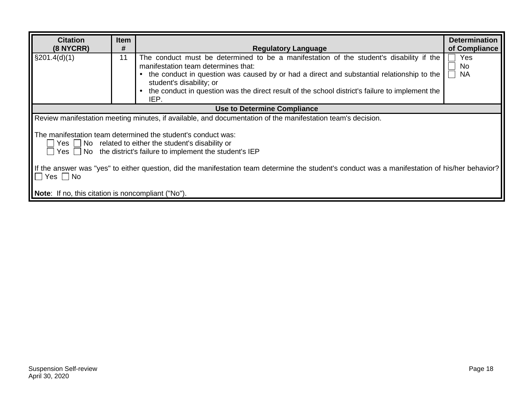| <b>Citation</b><br>$(8$ NYCRR)                                                                                                                                                               | <b>Item</b><br># | <b>Regulatory Language</b>                                                                                                                                                                                                                                                                                                                                                                   | <b>Determination</b><br>of Compliance |  |  |  |  |
|----------------------------------------------------------------------------------------------------------------------------------------------------------------------------------------------|------------------|----------------------------------------------------------------------------------------------------------------------------------------------------------------------------------------------------------------------------------------------------------------------------------------------------------------------------------------------------------------------------------------------|---------------------------------------|--|--|--|--|
| $\S201.4(d)(1)$                                                                                                                                                                              | 11               | The conduct must be determined to be a manifestation of the student's disability if the<br>manifestation team determines that:<br>the conduct in question was caused by or had a direct and substantial relationship to the<br>$\bullet$<br>student's disability; or<br>the conduct in question was the direct result of the school district's failure to implement the<br>$\bullet$<br>IEP. | Yes<br><b>No</b><br><b>NA</b>         |  |  |  |  |
|                                                                                                                                                                                              |                  | Use to Determine Compliance                                                                                                                                                                                                                                                                                                                                                                  |                                       |  |  |  |  |
|                                                                                                                                                                                              |                  | Review manifestation meeting minutes, if available, and documentation of the manifestation team's decision.                                                                                                                                                                                                                                                                                  |                                       |  |  |  |  |
| The manifestation team determined the student's conduct was:<br>$Yes \perp No$ related to either the student's disability or<br>Yes No the district's failure to implement the student's IEP |                  |                                                                                                                                                                                                                                                                                                                                                                                              |                                       |  |  |  |  |
| If the answer was "yes" to either question, did the manifestation team determine the student's conduct was a manifestation of his/her behavior?<br>$\Box$ Yes $\Box$ No                      |                  |                                                                                                                                                                                                                                                                                                                                                                                              |                                       |  |  |  |  |
| <b>Note:</b> If no, this citation is noncompliant ("No").                                                                                                                                    |                  |                                                                                                                                                                                                                                                                                                                                                                                              |                                       |  |  |  |  |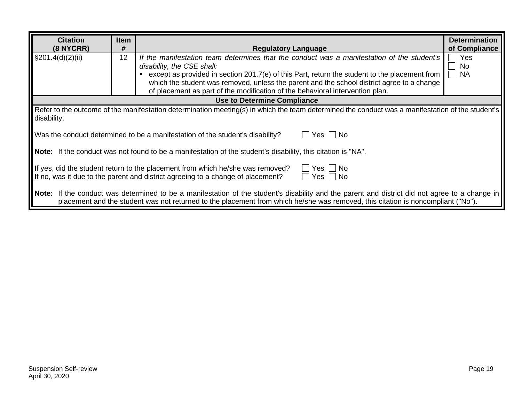| <b>Citation</b><br>(8 NYCRR)                                                                                                                                                                                                                                                       | <b>Item</b><br>#                                                                                      |                                                                                                                                                                                                                                                                                                                                                                                                                                        | <b>Determination</b><br>of Compliance |  |  |  |  |  |
|------------------------------------------------------------------------------------------------------------------------------------------------------------------------------------------------------------------------------------------------------------------------------------|-------------------------------------------------------------------------------------------------------|----------------------------------------------------------------------------------------------------------------------------------------------------------------------------------------------------------------------------------------------------------------------------------------------------------------------------------------------------------------------------------------------------------------------------------------|---------------------------------------|--|--|--|--|--|
| $\S 201.4(d)(2)(ii)$                                                                                                                                                                                                                                                               | 12                                                                                                    | <b>Regulatory Language</b><br>If the manifestation team determines that the conduct was a manifestation of the student's<br>disability, the CSE shall:<br>except as provided in section 201.7(e) of this Part, return the student to the placement from<br>which the student was removed, unless the parent and the school district agree to a change<br>of placement as part of the modification of the behavioral intervention plan. | Yes<br>No.<br><b>NA</b>               |  |  |  |  |  |
|                                                                                                                                                                                                                                                                                    |                                                                                                       | <b>Use to Determine Compliance</b>                                                                                                                                                                                                                                                                                                                                                                                                     |                                       |  |  |  |  |  |
| disability.                                                                                                                                                                                                                                                                        |                                                                                                       | Refer to the outcome of the manifestation determination meeting(s) in which the team determined the conduct was a manifestation of the student's                                                                                                                                                                                                                                                                                       |                                       |  |  |  |  |  |
|                                                                                                                                                                                                                                                                                    | $\Box$ Yes $\Box$ No<br>Was the conduct determined to be a manifestation of the student's disability? |                                                                                                                                                                                                                                                                                                                                                                                                                                        |                                       |  |  |  |  |  |
| Note: If the conduct was not found to be a manifestation of the student's disability, this citation is "NA".                                                                                                                                                                       |                                                                                                       |                                                                                                                                                                                                                                                                                                                                                                                                                                        |                                       |  |  |  |  |  |
| If yes, did the student return to the placement from which he/she was removed?<br>Yes.<br>No.<br>If no, was it due to the parent and district agreeing to a change of placement?<br>Yes     No                                                                                     |                                                                                                       |                                                                                                                                                                                                                                                                                                                                                                                                                                        |                                       |  |  |  |  |  |
| Note: If the conduct was determined to be a manifestation of the student's disability and the parent and district did not agree to a change in<br>placement and the student was not returned to the placement from which he/she was removed, this citation is noncompliant ("No"). |                                                                                                       |                                                                                                                                                                                                                                                                                                                                                                                                                                        |                                       |  |  |  |  |  |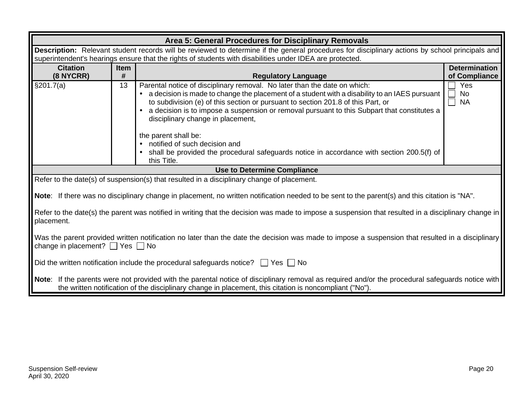| Area 5: General Procedures for Disciplinary Removals                                                                                             |                                                                                                                                                 |                                                                                                                                                     |                     |  |  |  |  |  |
|--------------------------------------------------------------------------------------------------------------------------------------------------|-------------------------------------------------------------------------------------------------------------------------------------------------|-----------------------------------------------------------------------------------------------------------------------------------------------------|---------------------|--|--|--|--|--|
|                                                                                                                                                  | Description: Relevant student records will be reviewed to determine if the general procedures for disciplinary actions by school principals and |                                                                                                                                                     |                     |  |  |  |  |  |
| superintendent's hearings ensure that the rights of students with disabilities under IDEA are protected.                                         |                                                                                                                                                 |                                                                                                                                                     |                     |  |  |  |  |  |
| <b>Citation</b>                                                                                                                                  | Item                                                                                                                                            | <b>Determination</b>                                                                                                                                |                     |  |  |  |  |  |
| (8 NYCRR)                                                                                                                                        | #                                                                                                                                               | of Compliance<br><b>Regulatory Language</b>                                                                                                         |                     |  |  |  |  |  |
| \$201.7(a)                                                                                                                                       | 13                                                                                                                                              | Parental notice of disciplinary removal. No later than the date on which:                                                                           | Yes                 |  |  |  |  |  |
|                                                                                                                                                  |                                                                                                                                                 | a decision is made to change the placement of a student with a disability to an IAES pursuant                                                       | $\Box$<br><b>No</b> |  |  |  |  |  |
|                                                                                                                                                  |                                                                                                                                                 | to subdivision (e) of this section or pursuant to section 201.8 of this Part, or                                                                    | <b>NA</b><br>$\Box$ |  |  |  |  |  |
|                                                                                                                                                  |                                                                                                                                                 | a decision is to impose a suspension or removal pursuant to this Subpart that constitutes a                                                         |                     |  |  |  |  |  |
|                                                                                                                                                  |                                                                                                                                                 | disciplinary change in placement,                                                                                                                   |                     |  |  |  |  |  |
|                                                                                                                                                  |                                                                                                                                                 |                                                                                                                                                     |                     |  |  |  |  |  |
|                                                                                                                                                  |                                                                                                                                                 | the parent shall be:<br>notified of such decision and<br>$\bullet$                                                                                  |                     |  |  |  |  |  |
|                                                                                                                                                  |                                                                                                                                                 |                                                                                                                                                     |                     |  |  |  |  |  |
|                                                                                                                                                  |                                                                                                                                                 | shall be provided the procedural safeguards notice in accordance with section 200.5(f) of<br>this Title.                                            |                     |  |  |  |  |  |
|                                                                                                                                                  |                                                                                                                                                 | <b>Use to Determine Compliance</b>                                                                                                                  |                     |  |  |  |  |  |
|                                                                                                                                                  |                                                                                                                                                 | Refer to the date(s) of suspension(s) that resulted in a disciplinary change of placement.                                                          |                     |  |  |  |  |  |
|                                                                                                                                                  |                                                                                                                                                 |                                                                                                                                                     |                     |  |  |  |  |  |
|                                                                                                                                                  |                                                                                                                                                 | Note: If there was no disciplinary change in placement, no written notification needed to be sent to the parent(s) and this citation is "NA".       |                     |  |  |  |  |  |
|                                                                                                                                                  |                                                                                                                                                 |                                                                                                                                                     |                     |  |  |  |  |  |
|                                                                                                                                                  |                                                                                                                                                 | Refer to the date(s) the parent was notified in writing that the decision was made to impose a suspension that resulted in a disciplinary change in |                     |  |  |  |  |  |
| placement.                                                                                                                                       |                                                                                                                                                 |                                                                                                                                                     |                     |  |  |  |  |  |
|                                                                                                                                                  |                                                                                                                                                 |                                                                                                                                                     |                     |  |  |  |  |  |
| Was the parent provided written notification no later than the date the decision was made to impose a suspension that resulted in a disciplinary |                                                                                                                                                 |                                                                                                                                                     |                     |  |  |  |  |  |
| change in placement? $\Box$ Yes $\Box$ No                                                                                                        |                                                                                                                                                 |                                                                                                                                                     |                     |  |  |  |  |  |
| Did the written notification include the procedural safeguards notice? $\Box$ Yes $\Box$ No                                                      |                                                                                                                                                 |                                                                                                                                                     |                     |  |  |  |  |  |
|                                                                                                                                                  |                                                                                                                                                 |                                                                                                                                                     |                     |  |  |  |  |  |
| Note: If the parents were not provided with the parental notice of disciplinary removal as required and/or the procedural safeguards notice with |                                                                                                                                                 |                                                                                                                                                     |                     |  |  |  |  |  |
| the written notification of the disciplinary change in placement, this citation is noncompliant ("No").                                          |                                                                                                                                                 |                                                                                                                                                     |                     |  |  |  |  |  |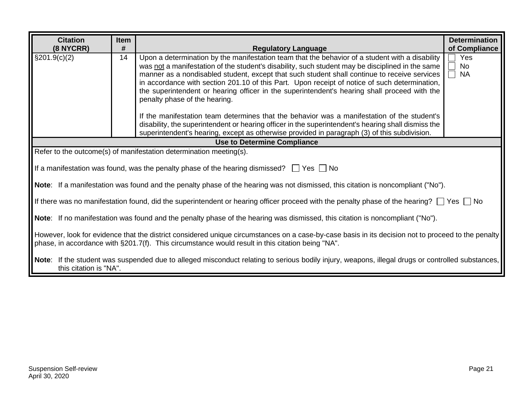| <b>Citation</b>                                                                                                                                                                                                                                        | <b>Determination</b><br>Item                                                                                                                                                                                                                                                                                                                                                                                                                                                                                                                |                                                                    |               |  |  |  |  |
|--------------------------------------------------------------------------------------------------------------------------------------------------------------------------------------------------------------------------------------------------------|---------------------------------------------------------------------------------------------------------------------------------------------------------------------------------------------------------------------------------------------------------------------------------------------------------------------------------------------------------------------------------------------------------------------------------------------------------------------------------------------------------------------------------------------|--------------------------------------------------------------------|---------------|--|--|--|--|
| (8 NYCRR)                                                                                                                                                                                                                                              | #                                                                                                                                                                                                                                                                                                                                                                                                                                                                                                                                           | <b>Regulatory Language</b>                                         | of Compliance |  |  |  |  |
| $\S201.9(c)(2)$                                                                                                                                                                                                                                        | Upon a determination by the manifestation team that the behavior of a student with a disability<br>14<br>was not a manifestation of the student's disability, such student may be disciplined in the same<br>manner as a nondisabled student, except that such student shall continue to receive services<br>in accordance with section 201.10 of this Part. Upon receipt of notice of such determination,<br>the superintendent or hearing officer in the superintendent's hearing shall proceed with the<br>penalty phase of the hearing. |                                                                    |               |  |  |  |  |
|                                                                                                                                                                                                                                                        | If the manifestation team determines that the behavior was a manifestation of the student's<br>disability, the superintendent or hearing officer in the superintendent's hearing shall dismiss the<br>superintendent's hearing, except as otherwise provided in paragraph (3) of this subdivision.                                                                                                                                                                                                                                          |                                                                    |               |  |  |  |  |
|                                                                                                                                                                                                                                                        |                                                                                                                                                                                                                                                                                                                                                                                                                                                                                                                                             | Use to Determine Compliance                                        |               |  |  |  |  |
|                                                                                                                                                                                                                                                        |                                                                                                                                                                                                                                                                                                                                                                                                                                                                                                                                             | Refer to the outcome(s) of manifestation determination meeting(s). |               |  |  |  |  |
|                                                                                                                                                                                                                                                        | If a manifestation was found, was the penalty phase of the hearing dismissed? $\Box$ Yes $\Box$ No                                                                                                                                                                                                                                                                                                                                                                                                                                          |                                                                    |               |  |  |  |  |
| Note: If a manifestation was found and the penalty phase of the hearing was not dismissed, this citation is noncompliant ("No").                                                                                                                       |                                                                                                                                                                                                                                                                                                                                                                                                                                                                                                                                             |                                                                    |               |  |  |  |  |
| If there was no manifestation found, did the superintendent or hearing officer proceed with the penalty phase of the hearing? $\Box$ Yes $\Box$ No                                                                                                     |                                                                                                                                                                                                                                                                                                                                                                                                                                                                                                                                             |                                                                    |               |  |  |  |  |
| Note: If no manifestation was found and the penalty phase of the hearing was dismissed, this citation is noncompliant ("No").                                                                                                                          |                                                                                                                                                                                                                                                                                                                                                                                                                                                                                                                                             |                                                                    |               |  |  |  |  |
| However, look for evidence that the district considered unique circumstances on a case-by-case basis in its decision not to proceed to the penalty<br>phase, in accordance with §201.7(f). This circumstance would result in this citation being "NA". |                                                                                                                                                                                                                                                                                                                                                                                                                                                                                                                                             |                                                                    |               |  |  |  |  |
| Note: If the student was suspended due to alleged misconduct relating to serious bodily injury, weapons, illegal drugs or controlled substances,<br>this citation is "NA".                                                                             |                                                                                                                                                                                                                                                                                                                                                                                                                                                                                                                                             |                                                                    |               |  |  |  |  |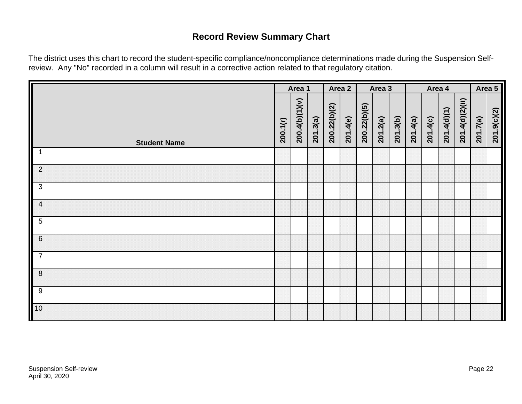# **Record Review Summary Chart**

The district uses this chart to record the student-specific compliance/noncompliance determinations made during the Suspension Selfreview. Any "No" recorded in a column will result in a corrective action related to that regulatory citation.

<span id="page-23-0"></span>

|                     |          | Area 1         |          |              | Area 2   | Area 3       |          |          | Area 4   |          |             | Area 5          |          |             |
|---------------------|----------|----------------|----------|--------------|----------|--------------|----------|----------|----------|----------|-------------|-----------------|----------|-------------|
| <b>Student Name</b> | 200.1(r) | 200.4(b)(1)(v) | 201.3(a) | 200.22(b)(2) | 201.4(e) | 200.22(b)(5) | 201.2(a) | 201.3(b) | 201.4(a) | 201.4(c) | 201.4(d)(1) | 201.4(d)(2)(ii) | 201.7(a) | 201.9(c)(2) |
| $\mathbf{1}$        |          |                |          |              |          |              |          |          |          |          |             |                 |          |             |
| $\overline{2}$      |          |                |          |              |          |              |          |          |          |          |             |                 |          |             |
| $\mathbf{3}$        |          |                |          |              |          |              |          |          |          |          |             |                 |          |             |
| $\overline{a}$      |          |                |          |              |          |              |          |          |          |          |             |                 |          |             |
| $\overline{5}$      |          |                |          |              |          |              |          |          |          |          |             |                 |          |             |
| $\,6$               |          |                |          |              |          |              |          |          |          |          |             |                 |          |             |
| $\overline{7}$      |          |                |          |              |          |              |          |          |          |          |             |                 |          |             |
| $\boldsymbol{8}$    |          |                |          |              |          |              |          |          |          |          |             |                 |          |             |
| 9                   |          |                |          |              |          |              |          |          |          |          |             |                 |          |             |
| 10                  |          |                |          |              |          |              |          |          |          |          |             |                 |          |             |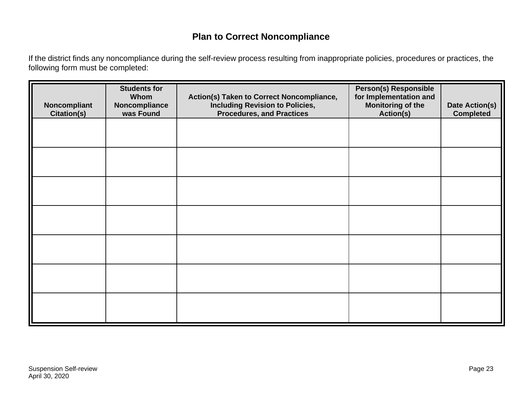# **Plan to Correct Noncompliance**

If the district finds any noncompliance during the self-review process resulting from inappropriate policies, procedures or practices, the following form must be completed:

<span id="page-24-0"></span>

| Noncompliant<br><b>Citation(s)</b> | <b>Students for</b><br>Whom<br>Noncompliance<br>was Found | Action(s) Taken to Correct Noncompliance,<br><b>Including Revision to Policies,</b><br><b>Procedures, and Practices</b> | <b>Person(s) Responsible</b><br>for Implementation and<br><b>Monitoring of the</b><br><b>Action(s)</b> | Date Action(s)<br><b>Completed</b> |
|------------------------------------|-----------------------------------------------------------|-------------------------------------------------------------------------------------------------------------------------|--------------------------------------------------------------------------------------------------------|------------------------------------|
|                                    |                                                           |                                                                                                                         |                                                                                                        |                                    |
|                                    |                                                           |                                                                                                                         |                                                                                                        |                                    |
|                                    |                                                           |                                                                                                                         |                                                                                                        |                                    |
|                                    |                                                           |                                                                                                                         |                                                                                                        |                                    |
|                                    |                                                           |                                                                                                                         |                                                                                                        |                                    |
|                                    |                                                           |                                                                                                                         |                                                                                                        |                                    |
|                                    |                                                           |                                                                                                                         |                                                                                                        |                                    |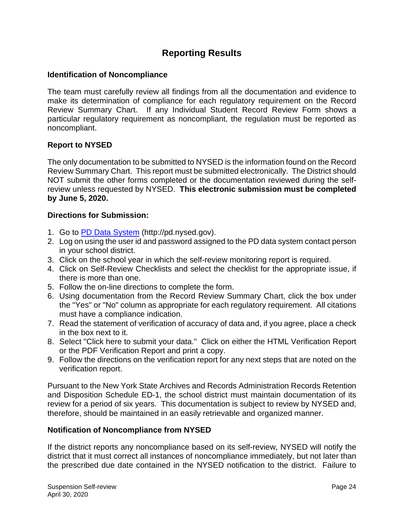## **Reporting Results**

#### <span id="page-25-0"></span>**Identification of Noncompliance**

The team must carefully review all findings from all the documentation and evidence to make its determination of compliance for each regulatory requirement on the Record Review Summary Chart. If any Individual Student Record Review Form shows a particular regulatory requirement as noncompliant, the regulation must be reported as noncompliant.

#### **Report to NYSED**

The only documentation to be submitted to NYSED is the information found on the Record Review Summary Chart. This report must be submitted electronically. The District should NOT submit the other forms completed or the documentation reviewed during the selfreview unless requested by NYSED. **This electronic submission must be completed by June 5, 2020.**

#### **Directions for Submission:**

- 1. Go to [PD Data System](http://pd.nysed.gov/) (http://pd.nysed.gov).
- 2. Log on using the user id and password assigned to the PD data system contact person in your school district.
- 3. Click on the school year in which the self-review monitoring report is required.
- 4. Click on Self-Review Checklists and select the checklist for the appropriate issue, if there is more than one.
- 5. Follow the on-line directions to complete the form.
- 6. Using documentation from the Record Review Summary Chart, click the box under the "Yes" or "No" column as appropriate for each regulatory requirement. All citations must have a compliance indication.
- 7. Read the statement of verification of accuracy of data and, if you agree, place a check in the box next to it.
- 8. Select "Click here to submit your data." Click on either the HTML Verification Report or the PDF Verification Report and print a copy.
- 9. Follow the directions on the verification report for any next steps that are noted on the verification report.

Pursuant to the New York State Archives and Records Administration Records Retention and Disposition Schedule ED-1, the school district must maintain documentation of its review for a period of six years. This documentation is subject to review by NYSED and, therefore, should be maintained in an easily retrievable and organized manner.

#### **Notification of Noncompliance from NYSED**

If the district reports any noncompliance based on its self-review, NYSED will notify the district that it must correct all instances of noncompliance immediately, but not later than the prescribed due date contained in the NYSED notification to the district. Failure to